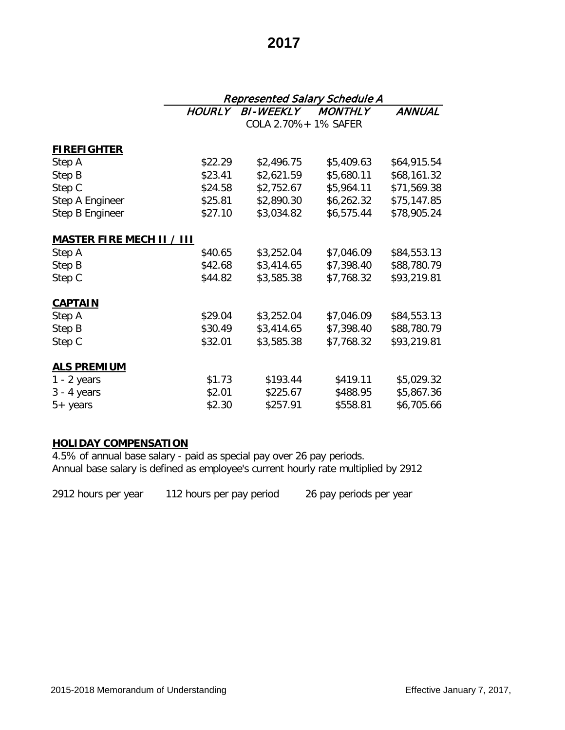# **2017**

|                                  |               | Represented Salary Schedule A |                |             |  |  |
|----------------------------------|---------------|-------------------------------|----------------|-------------|--|--|
|                                  | <b>HOURLY</b> | <b>BI-WEEKLY</b>              | <b>MONTHLY</b> | ANNUAL      |  |  |
|                                  |               | COLA 2.70% + 1% SAFER         |                |             |  |  |
| <b>FIREFIGHTER</b>               |               |                               |                |             |  |  |
| Step A                           | \$22.29       | \$2,496.75                    | \$5,409.63     | \$64,915.54 |  |  |
| Step B                           | \$23.41       | \$2,621.59                    | \$5,680.11     | \$68,161.32 |  |  |
| Step C                           | \$24.58       | \$2,752.67                    | \$5,964.11     | \$71,569.38 |  |  |
| Step A Engineer                  | \$25.81       | \$2,890.30                    | \$6,262.32     | \$75,147.85 |  |  |
| Step B Engineer                  | \$27.10       | \$3,034.82                    | \$6,575.44     | \$78,905.24 |  |  |
| <b>MASTER FIRE MECH II / III</b> |               |                               |                |             |  |  |
| Step A                           | \$40.65       | \$3,252.04                    | \$7,046.09     | \$84,553.13 |  |  |
| Step B                           | \$42.68       | \$3,414.65                    | \$7,398.40     | \$88,780.79 |  |  |
| Step C                           | \$44.82       | \$3,585.38                    | \$7,768.32     | \$93,219.81 |  |  |
| <b>CAPTAIN</b>                   |               |                               |                |             |  |  |
| Step A                           | \$29.04       | \$3,252.04                    | \$7,046.09     | \$84,553.13 |  |  |
| Step B                           | \$30.49       | \$3,414.65                    | \$7,398.40     | \$88,780.79 |  |  |
| Step C                           | \$32.01       | \$3,585.38                    | \$7,768.32     | \$93,219.81 |  |  |
| <b>ALS PREMIUM</b>               |               |                               |                |             |  |  |
| $1 - 2$ years                    | \$1.73        | \$193.44                      | \$419.11       | \$5,029.32  |  |  |
| $3 - 4$ years                    | \$2.01        | \$225.67                      | \$488.95       | \$5,867.36  |  |  |
| $5+$ years                       | \$2.30        | \$257.91                      | \$558.81       | \$6,705.66  |  |  |

## **HOLIDAY COMPENSATION**

4.5% of annual base salary - paid as special pay over 26 pay periods. Annual base salary is defined as employee's current hourly rate multiplied by 2912

2912 hours per year 112 hours per pay period 26 pay periods per year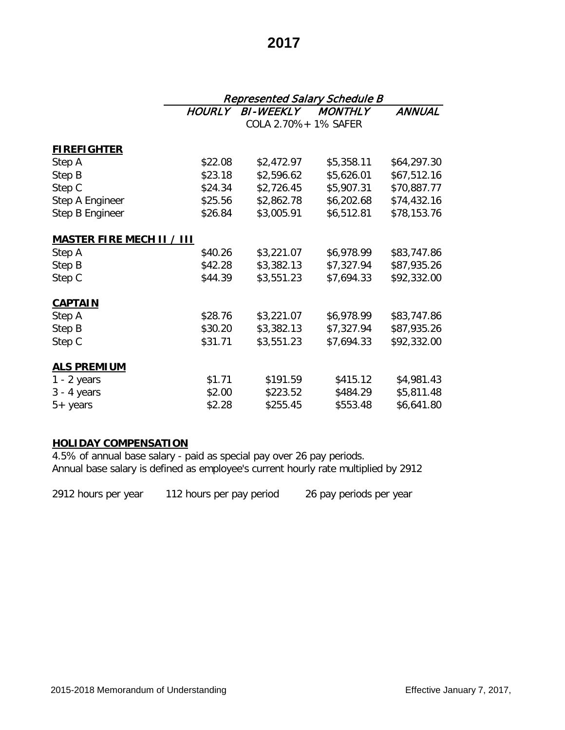# **2017**

|                                  |               | <b>Represented Salary Schedule B</b> |                |             |  |  |
|----------------------------------|---------------|--------------------------------------|----------------|-------------|--|--|
|                                  | <b>HOURLY</b> | <b>BI-WEEKLY</b>                     | <b>MONTHLY</b> | ANNUAL      |  |  |
|                                  |               | COLA 2.70% + 1% SAFER                |                |             |  |  |
| <b>FIREFIGHTER</b>               |               |                                      |                |             |  |  |
| Step A                           | \$22.08       | \$2,472.97                           | \$5,358.11     | \$64,297.30 |  |  |
| Step B                           | \$23.18       | \$2,596.62                           | \$5,626.01     | \$67,512.16 |  |  |
| Step C                           | \$24.34       | \$2,726.45                           | \$5,907.31     | \$70,887.77 |  |  |
| Step A Engineer                  | \$25.56       | \$2,862.78                           | \$6,202.68     | \$74,432.16 |  |  |
| Step B Engineer                  | \$26.84       | \$3,005.91                           | \$6,512.81     | \$78,153.76 |  |  |
| <b>MASTER FIRE MECH II / III</b> |               |                                      |                |             |  |  |
| Step A                           | \$40.26       | \$3,221.07                           | \$6,978.99     | \$83,747.86 |  |  |
| Step B                           | \$42.28       | \$3,382.13                           | \$7,327.94     | \$87,935.26 |  |  |
| Step C                           | \$44.39       | \$3,551.23                           | \$7,694.33     | \$92,332.00 |  |  |
| <b>CAPTAIN</b>                   |               |                                      |                |             |  |  |
| Step A                           | \$28.76       | \$3,221.07                           | \$6,978.99     | \$83,747.86 |  |  |
| Step B                           | \$30.20       | \$3,382.13                           | \$7,327.94     | \$87,935.26 |  |  |
| Step C                           | \$31.71       | \$3,551.23                           | \$7,694.33     | \$92,332.00 |  |  |
| <b>ALS PREMIUM</b>               |               |                                      |                |             |  |  |
| $1 - 2$ years                    | \$1.71        | \$191.59                             | \$415.12       | \$4,981.43  |  |  |
| $3 - 4$ years                    | \$2.00        | \$223.52                             | \$484.29       | \$5,811.48  |  |  |
| $5+$ years                       | \$2.28        | \$255.45                             | \$553.48       | \$6,641.80  |  |  |

## **HOLIDAY COMPENSATION**

4.5% of annual base salary - paid as special pay over 26 pay periods. Annual base salary is defined as employee's current hourly rate multiplied by 2912

2912 hours per year 112 hours per pay period 26 pay periods per year